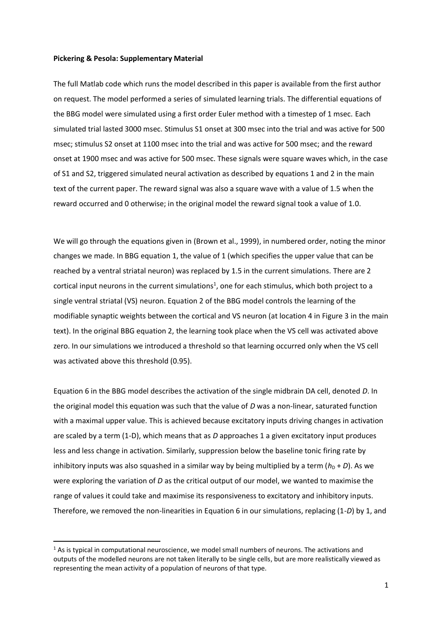## **Pickering & Pesola: Supplementary Material**

The full Matlab code which runs the model described in this paper is available from the first author on request. The model performed a series of simulated learning trials. The differential equations of the BBG model were simulated using a first order Euler method with a timestep of 1 msec. Each simulated trial lasted 3000 msec. Stimulus S1 onset at 300 msec into the trial and was active for 500 msec; stimulus S2 onset at 1100 msec into the trial and was active for 500 msec; and the reward onset at 1900 msec and was active for 500 msec. These signals were square waves which, in the case of S1 and S2, triggered simulated neural activation as described by equations 1 and 2 in the main text of the current paper. The reward signal was also a square wave with a value of 1.5 when the reward occurred and 0 otherwise; in the original model the reward signal took a value of 1.0.

We will go through the equations given in (Brown et al., 1999), in numbered order, noting the minor changes we made. In BBG equation 1, the value of 1 (which specifies the upper value that can be reached by a ventral striatal neuron) was replaced by 1.5 in the current simulations. There are 2 cortical input neurons in the current simulations<sup>1</sup>, one for each stimulus, which both project to a single ventral striatal (VS) neuron. Equation 2 of the BBG model controls the learning of the modifiable synaptic weights between the cortical and VS neuron (at location 4 in Figure 3 in the main text). In the original BBG equation 2, the learning took place when the VS cell was activated above zero. In our simulations we introduced a threshold so that learning occurred only when the VS cell was activated above this threshold (0.95).

Equation 6 in the BBG model describes the activation of the single midbrain DA cell, denoted *D*. In the original model this equation was such that the value of *D* was a non-linear, saturated function with a maximal upper value. This is achieved because excitatory inputs driving changes in activation are scaled by a term (1-D), which means that as *D* approaches 1 a given excitatory input produces less and less change in activation. Similarly, suppression below the baseline tonic firing rate by inhibitory inputs was also squashed in a similar way by being multiplied by a term  $(h_D + D)$ . As we were exploring the variation of *D* as the critical output of our model, we wanted to maximise the range of values it could take and maximise its responsiveness to excitatory and inhibitory inputs. Therefore, we removed the non-linearities in Equation 6 in our simulations, replacing (1-*D*) by 1, and

1

 $<sup>1</sup>$  As is typical in computational neuroscience, we model small numbers of neurons. The activations and</sup> outputs of the modelled neurons are not taken literally to be single cells, but are more realistically viewed as representing the mean activity of a population of neurons of that type.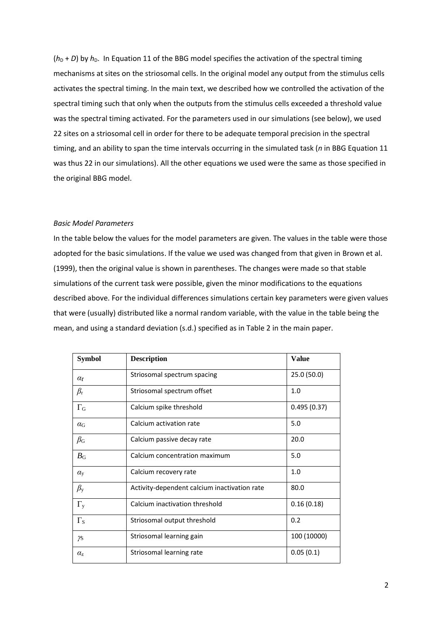$(h_D + D)$  by  $h_D$ . In Equation 11 of the BBG model specifies the activation of the spectral timing mechanisms at sites on the striosomal cells. In the original model any output from the stimulus cells activates the spectral timing. In the main text, we described how we controlled the activation of the spectral timing such that only when the outputs from the stimulus cells exceeded a threshold value was the spectral timing activated. For the parameters used in our simulations (see below), we used 22 sites on a striosomal cell in order for there to be adequate temporal precision in the spectral timing, and an ability to span the time intervals occurring in the simulated task (*n* in BBG Equation 11 was thus 22 in our simulations). All the other equations we used were the same as those specified in the original BBG model.

## *Basic Model Parameters*

In the table below the values for the model parameters are given. The values in the table were those adopted for the basic simulations. If the value we used was changed from that given in Brown et al. (1999), then the original value is shown in parentheses. The changes were made so that stable simulations of the current task were possible, given the minor modifications to the equations described above. For the individual differences simulations certain key parameters were given values that were (usually) distributed like a normal random variable, with the value in the table being the mean, and using a standard deviation (s.d.) specified as in Table 2 in the main paper.

| <b>Symbol</b>         | <b>Description</b>                           | <b>Value</b> |
|-----------------------|----------------------------------------------|--------------|
| $\alpha_{\rm r}$      | Striosomal spectrum spacing                  | 25.0 (50.0)  |
| $\beta_{\rm r}$       | Striosomal spectrum offset                   | 1.0          |
| $\Gamma_{\rm G}$      | Calcium spike threshold                      | 0.495(0.37)  |
| $\alpha$ <sub>G</sub> | Calcium activation rate                      | 5.0          |
| $\beta_{\rm G}$       | Calcium passive decay rate                   | 20.0         |
| $B_{\rm G}$           | Calcium concentration maximum                | 5.0          |
| $\alpha_{\rm v}$      | Calcium recovery rate                        | 1.0          |
| $\beta_{y}$           | Activity-dependent calcium inactivation rate | 80.0         |
| $\Gamma_{y}$          | Calcium inactivation threshold               | 0.16(0.18)   |
| $\Gamma_{\rm S}$      | Striosomal output threshold                  | 0.2          |
| γs                    | Striosomal learning gain                     | 100 (10000)  |
| $\alpha_z$            | Striosomal learning rate                     | 0.05(0.1)    |